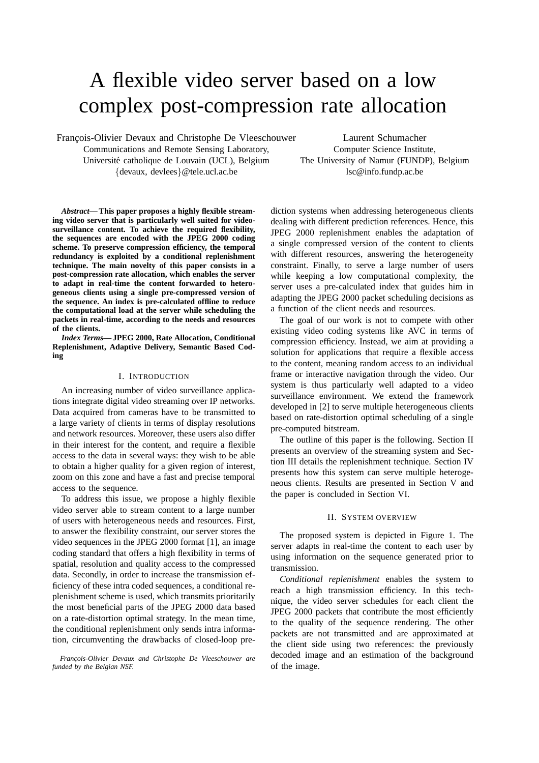# A flexible video server based on a low complex post-compression rate allocation

François-Olivier Devaux and Christophe De Vleeschouwer

Communications and Remote Sensing Laboratory, Université catholique de Louvain (UCL), Belgium {devaux, devlees}@tele.ucl.ac.be

Laurent Schumacher Computer Science Institute, The University of Namur (FUNDP), Belgium lsc@info.fundp.ac.be

*Abstract***— This paper proposes a highly flexible streaming video server that is particularly well suited for videosurveillance content. To achieve the required flexibility, the sequences are encoded with the JPEG 2000 coding scheme. To preserve compression efficiency, the temporal redundancy is exploited by a conditional replenishment technique. The main novelty of this paper consists in a post-compression rate allocation, which enables the server to adapt in real-time the content forwarded to heterogeneous clients using a single pre-compressed version of the sequence. An index is pre-calculated offline to reduce the computational load at the server while scheduling the packets in real-time, according to the needs and resources of the clients.**

*Index Terms***— JPEG 2000, Rate Allocation, Conditional Replenishment, Adaptive Delivery, Semantic Based Coding**

## I. INTRODUCTION

An increasing number of video surveillance applications integrate digital video streaming over IP networks. Data acquired from cameras have to be transmitted to a large variety of clients in terms of display resolutions and network resources. Moreover, these users also differ in their interest for the content, and require a flexible access to the data in several ways: they wish to be able to obtain a higher quality for a given region of interest, zoom on this zone and have a fast and precise temporal access to the sequence.

To address this issue, we propose a highly flexible video server able to stream content to a large number of users with heterogeneous needs and resources. First, to answer the flexibility constraint, our server stores the video sequences in the JPEG 2000 format [1], an image coding standard that offers a high flexibility in terms of spatial, resolution and quality access to the compressed data. Secondly, in order to increase the transmission efficiency of these intra coded sequences, a conditional replenishment scheme is used, which transmits prioritarily the most beneficial parts of the JPEG 2000 data based on a rate-distortion optimal strategy. In the mean time, the conditional replenishment only sends intra information, circumventing the drawbacks of closed-loop pre-

*Franc¸ois-Olivier Devaux and Christophe De Vleeschouwer are funded by the Belgian NSF.*

diction systems when addressing heterogeneous clients dealing with different prediction references. Hence, this JPEG 2000 replenishment enables the adaptation of a single compressed version of the content to clients with different resources, answering the heterogeneity constraint. Finally, to serve a large number of users while keeping a low computational complexity, the server uses a pre-calculated index that guides him in adapting the JPEG 2000 packet scheduling decisions as a function of the client needs and resources.

The goal of our work is not to compete with other existing video coding systems like AVC in terms of compression efficiency. Instead, we aim at providing a solution for applications that require a flexible access to the content, meaning random access to an individual frame or interactive navigation through the video. Our system is thus particularly well adapted to a video surveillance environment. We extend the framework developed in [2] to serve multiple heterogeneous clients based on rate-distortion optimal scheduling of a single pre-computed bitstream.

The outline of this paper is the following. Section II presents an overview of the streaming system and Section III details the replenishment technique. Section IV presents how this system can serve multiple heterogeneous clients. Results are presented in Section V and the paper is concluded in Section VI.

#### II. SYSTEM OVERVIEW

The proposed system is depicted in Figure 1. The server adapts in real-time the content to each user by using information on the sequence generated prior to transmission.

*Conditional replenishment* enables the system to reach a high transmission efficiency. In this technique, the video server schedules for each client the JPEG 2000 packets that contribute the most efficiently to the quality of the sequence rendering. The other packets are not transmitted and are approximated at the client side using two references: the previously decoded image and an estimation of the background of the image.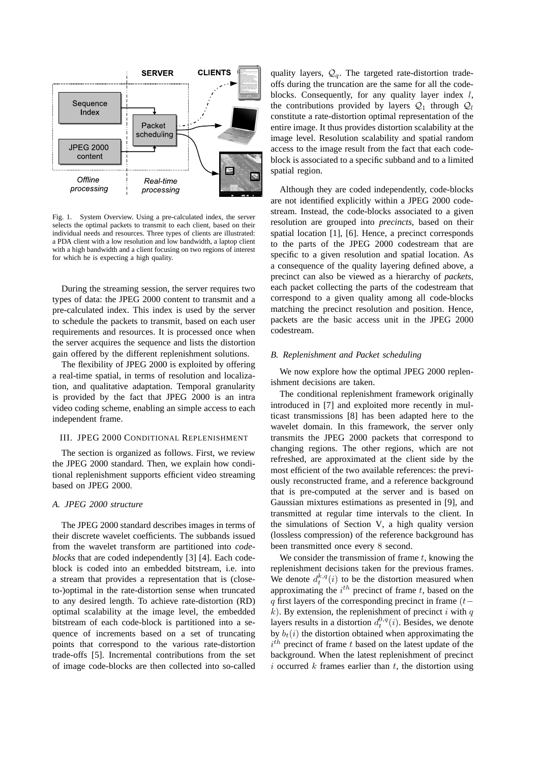

Fig. 1. System Overview. Using a pre-calculated index, the server selects the optimal packets to transmit to each client, based on their individual needs and resources. Three types of clients are illustrated: a PDA client with a low resolution and low bandwidth, a laptop client with a high bandwidth and a client focusing on two regions of interest for which he is expecting a high quality.

During the streaming session, the server requires two types of data: the JPEG 2000 content to transmit and a pre-calculated index. This index is used by the server to schedule the packets to transmit, based on each user requirements and resources. It is processed once when the server acquires the sequence and lists the distortion gain offered by the different replenishment solutions.

The flexibility of JPEG 2000 is exploited by offering a real-time spatial, in terms of resolution and localization, and qualitative adaptation. Temporal granularity is provided by the fact that JPEG 2000 is an intra video coding scheme, enabling an simple access to each independent frame.

## III. JPEG 2000 CONDITIONAL REPLENISHMENT

The section is organized as follows. First, we review the JPEG 2000 standard. Then, we explain how conditional replenishment supports efficient video streaming based on JPEG 2000.

# *A. JPEG 2000 structure*

The JPEG 2000 standard describes images in terms of their discrete wavelet coefficients. The subbands issued from the wavelet transform are partitioned into *codeblocks* that are coded independently [3] [4]. Each codeblock is coded into an embedded bitstream, i.e. into a stream that provides a representation that is (closeto-)optimal in the rate-distortion sense when truncated to any desired length. To achieve rate-distortion (RD) optimal scalability at the image level, the embedded bitstream of each code-block is partitioned into a sequence of increments based on a set of truncating points that correspond to the various rate-distortion trade-offs [5]. Incremental contributions from the set of image code-blocks are then collected into so-called

quality layers,  $\mathcal{Q}_q$ . The targeted rate-distortion tradeoffs during the truncation are the same for all the codeblocks. Consequently, for any quality layer index  $l$ , the contributions provided by layers  $Q_1$  through  $Q_1$ constitute a rate-distortion optimal representation of the entire image. It thus provides distortion scalability at the image level. Resolution scalability and spatial random access to the image result from the fact that each codeblock is associated to a specific subband and to a limited spatial region.

Although they are coded independently, code-blocks are not identified explicitly within a JPEG 2000 codestream. Instead, the code-blocks associated to a given resolution are grouped into *precincts*, based on their spatial location [1], [6]. Hence, a precinct corresponds to the parts of the JPEG 2000 codestream that are specific to a given resolution and spatial location. As a consequence of the quality layering defined above, a precinct can also be viewed as a hierarchy of *packets*, each packet collecting the parts of the codestream that correspond to a given quality among all code-blocks matching the precinct resolution and position. Hence, packets are the basic access unit in the JPEG 2000 codestream.

#### *B. Replenishment and Packet scheduling*

We now explore how the optimal JPEG 2000 replenishment decisions are taken.

The conditional replenishment framework originally introduced in [7] and exploited more recently in multicast transmissions [8] has been adapted here to the wavelet domain. In this framework, the server only transmits the JPEG 2000 packets that correspond to changing regions. The other regions, which are not refreshed, are approximated at the client side by the most efficient of the two available references: the previously reconstructed frame, and a reference background that is pre-computed at the server and is based on Gaussian mixtures estimations as presented in [9], and transmitted at regular time intervals to the client. In the simulations of Section V, a high quality version (lossless compression) of the reference background has been transmitted once every 8 second.

We consider the transmission of frame  $t$ , knowing the replenishment decisions taken for the previous frames. We denote  $d_t^{k,q}(i)$  to be the distortion measured when approximating the  $i^{th}$  precinct of frame t, based on the q first layers of the corresponding precinct in frame  $(t$  $k$ ). By extension, the replenishment of precinct i with q layers results in a distortion  $d_t^{0,q}(i)$ . Besides, we denote by  $b_t(i)$  the distortion obtained when approximating the  $i<sup>th</sup>$  precinct of frame t based on the latest update of the background. When the latest replenishment of precinct i occurred  $k$  frames earlier than  $t$ , the distortion using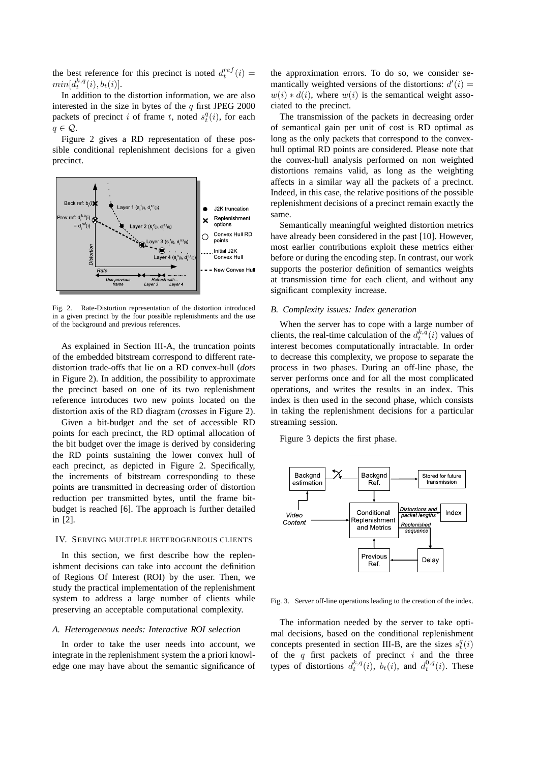the best reference for this precinct is noted  $d_t^{ref}(i) =$  $min[d_t^{k,q}(i), b_t(i)].$ 

In addition to the distortion information, we are also interested in the size in bytes of the  $q$  first JPEG 2000 packets of precinct i of frame t, noted  $s_t^q(i)$ , for each  $q \in \mathcal{Q}$ .

Figure 2 gives a RD representation of these possible conditional replenishment decisions for a given precinct.



Fig. 2. Rate-Distortion representation of the distortion introduced in a given precinct by the four possible replenishments and the use of the background and previous references.

As explained in Section III-A, the truncation points of the embedded bitstream correspond to different ratedistortion trade-offs that lie on a RD convex-hull (*dots* in Figure 2). In addition, the possibility to approximate the precinct based on one of its two replenishment reference introduces two new points located on the distortion axis of the RD diagram (*crosses* in Figure 2).

Given a bit-budget and the set of accessible RD points for each precinct, the RD optimal allocation of the bit budget over the image is derived by considering the RD points sustaining the lower convex hull of each precinct, as depicted in Figure 2. Specifically, the increments of bitstream corresponding to these points are transmitted in decreasing order of distortion reduction per transmitted bytes, until the frame bitbudget is reached [6]. The approach is further detailed in [2].

# IV. SERVING MULTIPLE HETEROGENEOUS CLIENTS

In this section, we first describe how the replenishment decisions can take into account the definition of Regions Of Interest (ROI) by the user. Then, we study the practical implementation of the replenishment system to address a large number of clients while preserving an acceptable computational complexity.

# *A. Heterogeneous needs: Interactive ROI selection*

In order to take the user needs into account, we integrate in the replenishment system the a priori knowledge one may have about the semantic significance of the approximation errors. To do so, we consider semantically weighted versions of the distortions:  $d'(i) =$  $w(i) * d(i)$ , where  $w(i)$  is the semantical weight associated to the precinct.

The transmission of the packets in decreasing order of semantical gain per unit of cost is RD optimal as long as the only packets that correspond to the convexhull optimal RD points are considered. Please note that the convex-hull analysis performed on non weighted distortions remains valid, as long as the weighting affects in a similar way all the packets of a precinct. Indeed, in this case, the relative positions of the possible replenishment decisions of a precinct remain exactly the same.

Semantically meaningful weighted distortion metrics have already been considered in the past [10]. However, most earlier contributions exploit these metrics either before or during the encoding step. In contrast, our work supports the posterior definition of semantics weights at transmission time for each client, and without any significant complexity increase.

## *B. Complexity issues: Index generation*

When the server has to cope with a large number of clients, the real-time calculation of the  $d_t^{k,\bar{q}}(i)$  values of interest becomes computationally intractable. In order to decrease this complexity, we propose to separate the process in two phases. During an off-line phase, the server performs once and for all the most complicated operations, and writes the results in an index. This index is then used in the second phase, which consists in taking the replenishment decisions for a particular streaming session.

Figure 3 depicts the first phase.



Fig. 3. Server off-line operations leading to the creation of the index.

The information needed by the server to take optimal decisions, based on the conditional replenishment concepts presented in section III-B, are the sizes  $s_t^q(i)$ of the  $q$  first packets of precinct  $i$  and the three types of distortions  $d_t^{k,q}(i)$ ,  $b_t(i)$ , and  $d_t^{0,q}(i)$ . These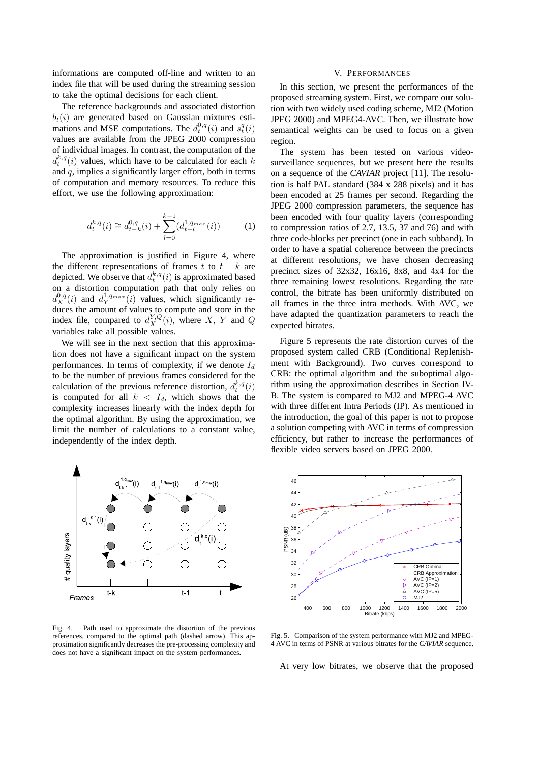informations are computed off-line and written to an index file that will be used during the streaming session to take the optimal decisions for each client.

The reference backgrounds and associated distortion  $b_t(i)$  are generated based on Gaussian mixtures estimations and MSE computations. The  $d_t^{0,q}(i)$  and  $s_t^q(i)$ values are available from the JPEG 2000 compression of individual images. In contrast, the computation of the  $d_t^{k,q}(i)$  values, which have to be calculated for each k and  $q$ , implies a significantly larger effort, both in terms of computation and memory resources. To reduce this effort, we use the following approximation:

$$
d_t^{k,q}(i) \cong d_{t-k}^{0,q}(i) + \sum_{l=0}^{k-1} (d_{t-l}^{1,q_{max}}(i))
$$
 (1)

The approximation is justified in Figure 4, where the different representations of frames t to  $t - k$  are depicted. We observe that  $d_t^{k,q}(i)$  is approximated based on a distortion computation path that only relies on  $d_X^{0,q}(i)$  and  $d_Y^{1,q_{max}}(i)$  values, which significantly reduces the amount of values to compute and store in the index file, compared to  $d_X^{Y,Q}(i)$ , where X, Y and Q variables take all possible values.

We will see in the next section that this approximation does not have a significant impact on the system performances. In terms of complexity, if we denote  $I_d$ to be the number of previous frames considered for the calculation of the previous reference distortion,  $d_t^{k,q}(i)$ is computed for all  $k < I_d$ , which shows that the complexity increases linearly with the index depth for the optimal algorithm. By using the approximation, we limit the number of calculations to a constant value, independently of the index depth.



Fig. 4. Path used to approximate the distortion of the previous references, compared to the optimal path (dashed arrow). This approximation significantly decreases the pre-processing complexity and does not have a significant impact on the system performances.

## V. PERFORMANCES

In this section, we present the performances of the proposed streaming system. First, we compare our solution with two widely used coding scheme, MJ2 (Motion JPEG 2000) and MPEG4-AVC. Then, we illustrate how semantical weights can be used to focus on a given region.

The system has been tested on various videosurveillance sequences, but we present here the results on a sequence of the *CAVIAR* project [11]. The resolution is half PAL standard (384 x 288 pixels) and it has been encoded at 25 frames per second. Regarding the JPEG 2000 compression parameters, the sequence has been encoded with four quality layers (corresponding to compression ratios of 2.7, 13.5, 37 and 76) and with three code-blocks per precinct (one in each subband). In order to have a spatial coherence between the precincts at different resolutions, we have chosen decreasing precinct sizes of 32x32, 16x16, 8x8, and 4x4 for the three remaining lowest resolutions. Regarding the rate control, the bitrate has been uniformly distributed on all frames in the three intra methods. With AVC, we have adapted the quantization parameters to reach the expected bitrates.

Figure 5 represents the rate distortion curves of the proposed system called CRB (Conditional Replenishment with Background). Two curves correspond to CRB: the optimal algorithm and the suboptimal algorithm using the approximation describes in Section IV-B. The system is compared to MJ2 and MPEG-4 AVC with three different Intra Periods (IP). As mentioned in the introduction, the goal of this paper is not to propose a solution competing with AVC in terms of compression efficiency, but rather to increase the performances of flexible video servers based on JPEG 2000.



Fig. 5. Comparison of the system performance with MJ2 and MPEG-4 AVC in terms of PSNR at various bitrates for the *CAVIAR* sequence.

At very low bitrates, we observe that the proposed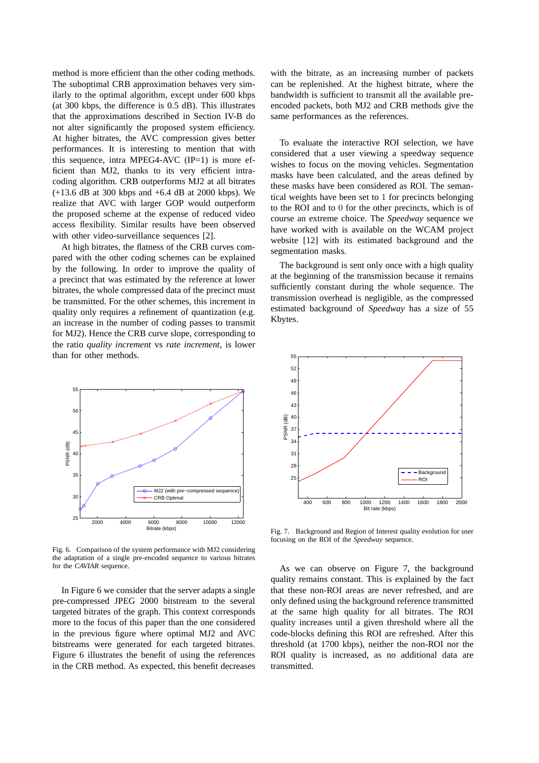method is more efficient than the other coding methods. The suboptimal CRB approximation behaves very similarly to the optimal algorithm, except under 600 kbps (at 300 kbps, the difference is 0.5 dB). This illustrates that the approximations described in Section IV-B do not alter significantly the proposed system efficiency. At higher bitrates, the AVC compression gives better performances. It is interesting to mention that with this sequence, intra MPEG4-AVC  $(IP=1)$  is more efficient than MJ2, thanks to its very efficient intracoding algorithm. CRB outperforms MJ2 at all bitrates (+13.6 dB at 300 kbps and +6.4 dB at 2000 kbps). We realize that AVC with larger GOP would outperform the proposed scheme at the expense of reduced video access flexibility. Similar results have been observed with other video-surveillance sequences [2].

At high bitrates, the flatness of the CRB curves compared with the other coding schemes can be explained by the following. In order to improve the quality of a precinct that was estimated by the reference at lower bitrates, the whole compressed data of the precinct must be transmitted. For the other schemes, this increment in quality only requires a refinement of quantization (e.g. an increase in the number of coding passes to transmit for MJ2). Hence the CRB curve slope, corresponding to the ratio *quality increment* vs *rate increment*, is lower than for other methods.



Fig. 6. Comparison of the system performance with MJ2 considering the adaptation of a single pre-encoded sequence to various bitrates for the *CAVIAR* sequence.

In Figure 6 we consider that the server adapts a single pre-compressed JPEG 2000 bitstream to the several targeted bitrates of the graph. This context corresponds more to the focus of this paper than the one considered in the previous figure where optimal MJ2 and AVC bitstreams were generated for each targeted bitrates. Figure 6 illustrates the benefit of using the references in the CRB method. As expected, this benefit decreases

with the bitrate, as an increasing number of packets can be replenished. At the highest bitrate, where the bandwidth is sufficient to transmit all the available preencoded packets, both MJ2 and CRB methods give the same performances as the references.

To evaluate the interactive ROI selection, we have considered that a user viewing a speedway sequence wishes to focus on the moving vehicles. Segmentation masks have been calculated, and the areas defined by these masks have been considered as ROI. The semantical weights have been set to 1 for precincts belonging to the ROI and to 0 for the other precincts, which is of course an extreme choice. The *Speedway* sequence we have worked with is available on the WCAM project website [12] with its estimated background and the segmentation masks.

The background is sent only once with a high quality at the beginning of the transmission because it remains sufficiently constant during the whole sequence. The transmission overhead is negligible, as the compressed estimated background of *Speedway* has a size of 55 Kbytes.



Fig. 7. Background and Region of Interest quality evolution for user focusing on the ROI of the *Speedway* sequence.

As we can observe on Figure 7, the background quality remains constant. This is explained by the fact that these non-ROI areas are never refreshed, and are only defined using the background reference transmitted at the same high quality for all bitrates. The ROI quality increases until a given threshold where all the code-blocks defining this ROI are refreshed. After this threshold (at 1700 kbps), neither the non-ROI nor the ROI quality is increased, as no additional data are transmitted.